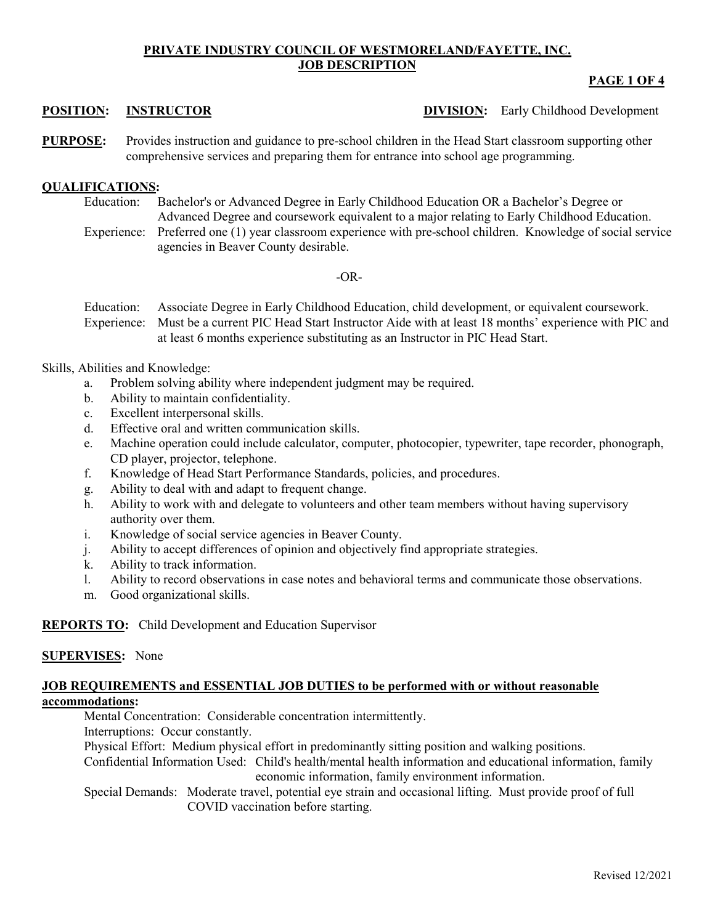# **PRIVATE INDUSTRY COUNCIL OF WESTMORELAND/FAYETTE, INC. JOB DESCRIPTION**

# **PAGE 1 OF 4**

**POSITION: INSTRUCTOR DIVISION:** Early Childhood Development

**PURPOSE:** Provides instruction and guidance to pre-school children in the Head Start classroom supporting other comprehensive services and preparing them for entrance into school age programming.

## **QUALIFICATIONS:**

Education: Bachelor's or Advanced Degree in Early Childhood Education OR a Bachelor's Degree or Advanced Degree and coursework equivalent to a major relating to Early Childhood Education.

Experience: Preferred one (1) year classroom experience with pre-school children. Knowledge of social service agencies in Beaver County desirable.

### -OR-

Education: Associate Degree in Early Childhood Education, child development, or equivalent coursework. Experience: Must be a current PIC Head Start Instructor Aide with at least 18 months' experience with PIC and at least 6 months experience substituting as an Instructor in PIC Head Start.

Skills, Abilities and Knowledge:

- a. Problem solving ability where independent judgment may be required.
- b. Ability to maintain confidentiality.
- c. Excellent interpersonal skills.
- d. Effective oral and written communication skills.
- e. Machine operation could include calculator, computer, photocopier, typewriter, tape recorder, phonograph, CD player, projector, telephone.
- f. Knowledge of Head Start Performance Standards, policies, and procedures.
- g. Ability to deal with and adapt to frequent change.
- h. Ability to work with and delegate to volunteers and other team members without having supervisory authority over them.
- i. Knowledge of social service agencies in Beaver County.
- j. Ability to accept differences of opinion and objectively find appropriate strategies.
- k. Ability to track information.
- l. Ability to record observations in case notes and behavioral terms and communicate those observations.
- m. Good organizational skills.

# **REPORTS TO:** Child Development and Education Supervisor

## **SUPERVISES:** None

## **JOB REQUIREMENTS and ESSENTIAL JOB DUTIES to be performed with or without reasonable accommodations:**

Mental Concentration: Considerable concentration intermittently.

Interruptions: Occur constantly.

Physical Effort: Medium physical effort in predominantly sitting position and walking positions.

Confidential Information Used: Child's health/mental health information and educational information, family economic information, family environment information.

Special Demands: Moderate travel, potential eye strain and occasional lifting. Must provide proof of full COVID vaccination before starting.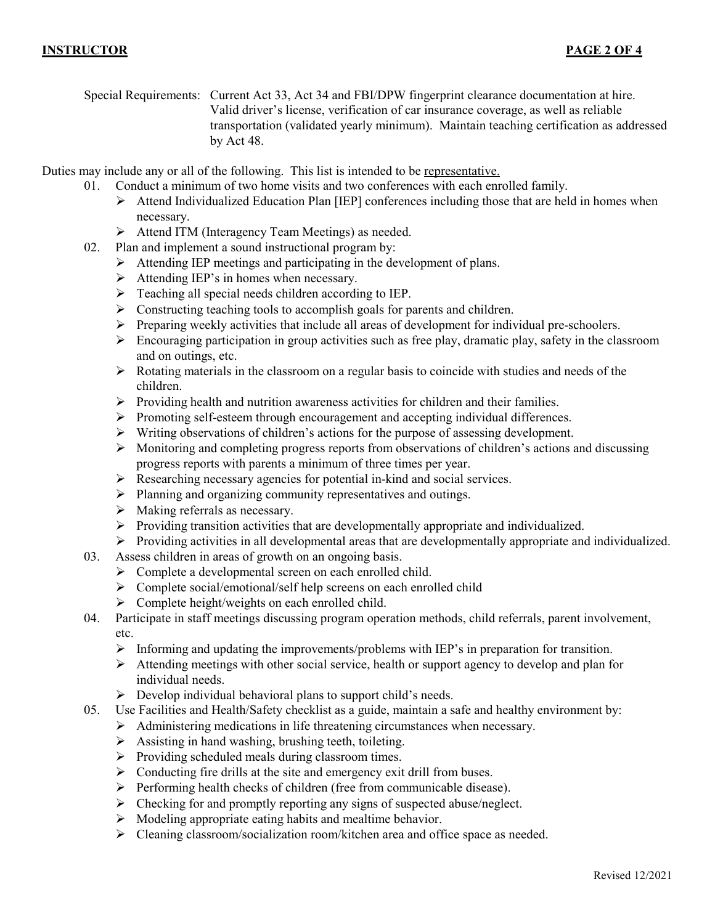Special Requirements: Current Act 33, Act 34 and FBI/DPW fingerprint clearance documentation at hire. Valid driver's license, verification of car insurance coverage, as well as reliable transportation (validated yearly minimum). Maintain teaching certification as addressed by Act 48.

Duties may include any or all of the following. This list is intended to be representative.

- 01. Conduct a minimum of two home visits and two conferences with each enrolled family.
	- $\triangleright$  Attend Individualized Education Plan [IEP] conferences including those that are held in homes when necessary.
	- Attend ITM (Interagency Team Meetings) as needed.
- 02. Plan and implement a sound instructional program by:
	- $\triangleright$  Attending IEP meetings and participating in the development of plans.
	- $\triangleright$  Attending IEP's in homes when necessary.
	- $\triangleright$  Teaching all special needs children according to IEP.
	- $\triangleright$  Constructing teaching tools to accomplish goals for parents and children.
	- $\triangleright$  Preparing weekly activities that include all areas of development for individual pre-schoolers.
	- $\triangleright$  Encouraging participation in group activities such as free play, dramatic play, safety in the classroom and on outings, etc.
	- $\triangleright$  Rotating materials in the classroom on a regular basis to coincide with studies and needs of the children.
	- $\triangleright$  Providing health and nutrition awareness activities for children and their families.
	- Promoting self-esteem through encouragement and accepting individual differences.
	- $\triangleright$  Writing observations of children's actions for the purpose of assessing development.
	- Monitoring and completing progress reports from observations of children's actions and discussing progress reports with parents a minimum of three times per year.
	- $\triangleright$  Researching necessary agencies for potential in-kind and social services.
	- $\triangleright$  Planning and organizing community representatives and outings.
	- $\triangleright$  Making referrals as necessary.
	- $\triangleright$  Providing transition activities that are developmentally appropriate and individualized.
	- Providing activities in all developmental areas that are developmentally appropriate and individualized.
- 03. Assess children in areas of growth on an ongoing basis.
	- > Complete a developmental screen on each enrolled child.
	- $\triangleright$  Complete social/emotional/self help screens on each enrolled child
	- $\triangleright$  Complete height/weights on each enrolled child.
- 04. Participate in staff meetings discussing program operation methods, child referrals, parent involvement, etc.
	- $\triangleright$  Informing and updating the improvements/problems with IEP's in preparation for transition.
	- $\triangleright$  Attending meetings with other social service, health or support agency to develop and plan for individual needs.
	- $\triangleright$  Develop individual behavioral plans to support child's needs.
- 05. Use Facilities and Health/Safety checklist as a guide, maintain a safe and healthy environment by:
	- Administering medications in life threatening circumstances when necessary.
		- $\triangleright$  Assisting in hand washing, brushing teeth, toileting.
		- $\triangleright$  Providing scheduled meals during classroom times.
		- $\triangleright$  Conducting fire drills at the site and emergency exit drill from buses.
		- $\triangleright$  Performing health checks of children (free from communicable disease).
		- $\triangleright$  Checking for and promptly reporting any signs of suspected abuse/neglect.
		- $\triangleright$  Modeling appropriate eating habits and mealtime behavior.
		- Cleaning classroom/socialization room/kitchen area and office space as needed.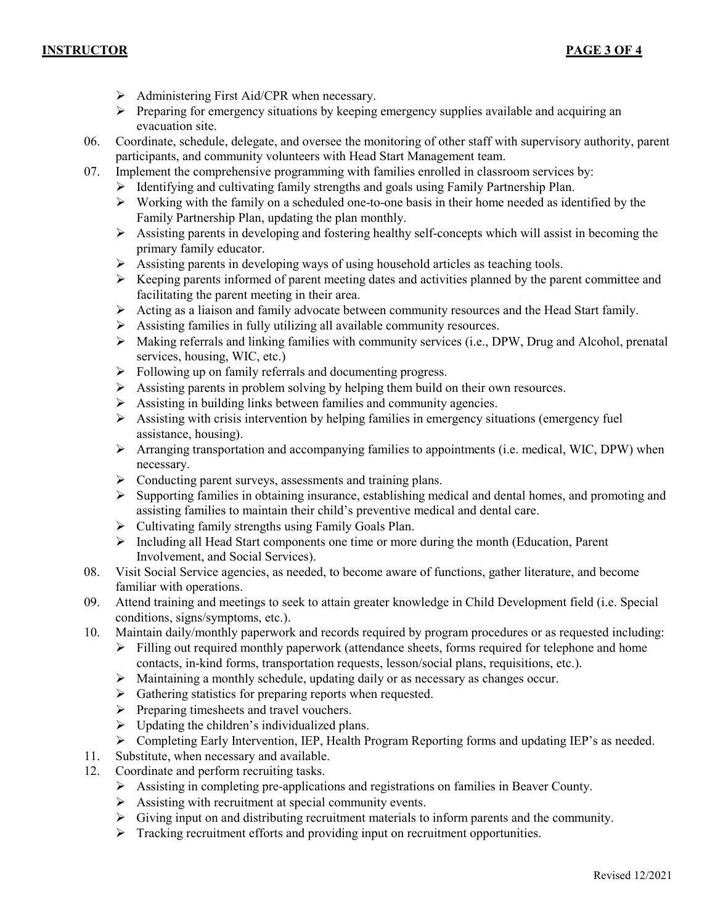- $\triangleright$  Administering First Aid/CPR when necessary.
- $\triangleright$  Preparing for emergency situations by keeping emergency supplies available and acquiring an evacuation site.
- 06. Coordinate, schedule, delegate, and oversee the monitoring of other staff with supervisory authority, parent participants, and community volunteers with Head Start Management team.
- 07. Implement the comprehensive programming with families enrolled in classroom services by:
	- $\triangleright$  Identifying and cultivating family strengths and goals using Family Partnership Plan.
	- $\triangleright$  Working with the family on a scheduled one-to-one basis in their home needed as identified by the Family Partnership Plan, updating the plan monthly.
	- $\triangleright$  Assisting parents in developing and fostering healthy self-concepts which will assist in becoming the primary family educator.
	- $\triangleright$  Assisting parents in developing ways of using household articles as teaching tools.
	- $\triangleright$  Keeping parents informed of parent meeting dates and activities planned by the parent committee and facilitating the parent meeting in their area.
	- $\triangleright$  Acting as a liaison and family advocate between community resources and the Head Start family.
	- $\triangleright$  Assisting families in fully utilizing all available community resources.
	- Making referrals and linking families with community services (i.e., DPW, Drug and Alcohol, prenatal services, housing, WIC, etc.)
	- Following up on family referrals and documenting progress.
	- $\triangleright$  Assisting parents in problem solving by helping them build on their own resources.
	- $\triangleright$  Assisting in building links between families and community agencies.
	- $\triangleright$  Assisting with crisis intervention by helping families in emergency situations (emergency fuel assistance, housing).
	- Arranging transportation and accompanying families to appointments (i.e. medical, WIC, DPW) when necessary.
	- $\triangleright$  Conducting parent surveys, assessments and training plans.
	- $\triangleright$  Supporting families in obtaining insurance, establishing medical and dental homes, and promoting and assisting families to maintain their child's preventive medical and dental care.
	- $\triangleright$  Cultivating family strengths using Family Goals Plan.
	- $\triangleright$  Including all Head Start components one time or more during the month (Education, Parent Involvement, and Social Services).
- 08. Visit Social Service agencies, as needed, to become aware of functions, gather literature, and become familiar with operations.
- 09. Attend training and meetings to seek to attain greater knowledge in Child Development field (i.e. Special conditions, signs/symptoms, etc.).
- 10. Maintain daily/monthly paperwork and records required by program procedures or as requested including:
	- $\triangleright$  Filling out required monthly paperwork (attendance sheets, forms required for telephone and home contacts, in-kind forms, transportation requests, lesson/social plans, requisitions, etc.).
	- $\triangleright$  Maintaining a monthly schedule, updating daily or as necessary as changes occur.
	- $\triangleright$  Gathering statistics for preparing reports when requested.
	- $\triangleright$  Preparing timesheets and travel vouchers.
	- $\triangleright$  Updating the children's individualized plans.
	- $\triangleright$  Completing Early Intervention, IEP, Health Program Reporting forms and updating IEP's as needed.
- 11. Substitute, when necessary and available.
- 12. Coordinate and perform recruiting tasks.
	- Assisting in completing pre-applications and registrations on families in Beaver County.
	- $\triangleright$  Assisting with recruitment at special community events.
	- $\triangleright$  Giving input on and distributing recruitment materials to inform parents and the community.
	- Fracking recruitment efforts and providing input on recruitment opportunities.